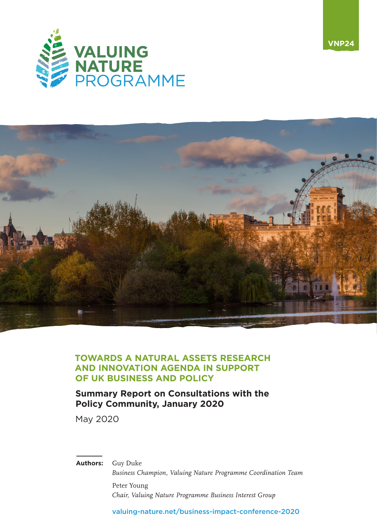



**VNP24**

#### **TOWARDS A NATURAL ASSETS RESEARCH AND INNOVATION AGENDA IN SUPPORT OF UK BUSINESS AND POLICY**

#### **Summary Report on Consultations with the Policy Community, January 2020**

May 2020

**Authors:** Guy Duke

*Business Champion, Valuing Nature Programme Coordination Team* Peter Young

*Chair, Valuing Nature Programme Business Interest Group*

[valuing-nature.net/business-impact-conference-2020](https://valuing-nature.net/business-impact-conference-2020)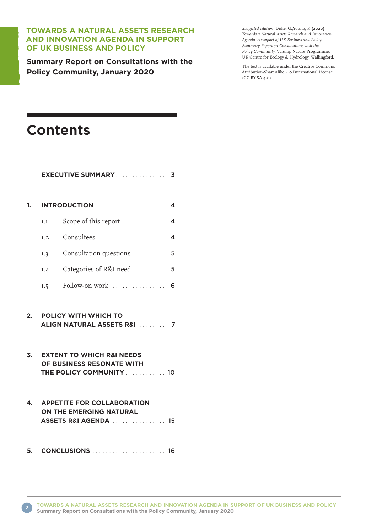#### **TOWARDS A NATURAL ASSETS RESEARCH AND INNOVATION AGENDA IN SUPPORT OF UK BUSINESS AND POLICY**

**Summary Report on Consultations with the Policy Community, January 2020**

*Suggested citation:* Duke, G.,Young, P. (2020) *Towards a Natural Assets Research and Innovation Agenda in support of UK Business and Policy. Summary Report on Consultations with the Policy Community.* Valuing Nature Programme, UK Centre for Ecology & Hydrology, Wallingford.

The text is available under the Creative Commons Attribution-ShareAlike 4.0 International License (CC BY-SA 4.0)

# **Contents**

|                  |                                                                                               | <b>EXECUTIVE SUMMARY</b><br>3                                                         |  |  |
|------------------|-----------------------------------------------------------------------------------------------|---------------------------------------------------------------------------------------|--|--|
| 1.               |                                                                                               | 4                                                                                     |  |  |
|                  | 1.1                                                                                           | Scope of this report<br>4                                                             |  |  |
|                  | 1.2                                                                                           | 4                                                                                     |  |  |
|                  | 1.3                                                                                           | Consultation questions 5                                                              |  |  |
|                  | 1.4                                                                                           | Categories of R&I need<br>5                                                           |  |  |
|                  | 1.5                                                                                           | Follow-on work<br>6                                                                   |  |  |
| 2.               | <b>POLICY WITH WHICH TO</b><br>ALIGN NATURAL ASSETS R&I  7                                    |                                                                                       |  |  |
| $\overline{3}$ . | <b>EXTENT TO WHICH R&amp;I NEEDS</b><br>OF BUSINESS RESONATE WITH<br>THE POLICY COMMUNITY  10 |                                                                                       |  |  |
| 4.               |                                                                                               | <b>APPETITE FOR COLLABORATION</b><br>ON THE EMERGING NATURAL<br>ASSETS R&I AGENDA  15 |  |  |
| 5.               |                                                                                               | <b>CONCLUSIONS CONCLUSIONS</b>                                                        |  |  |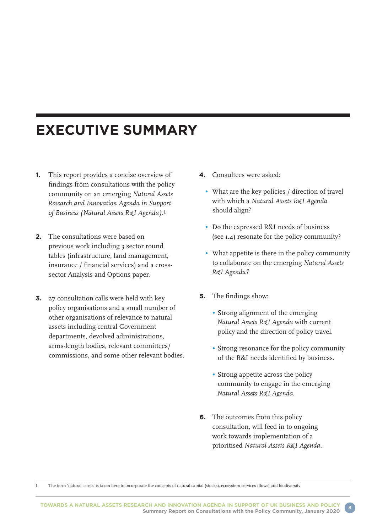# **EXECUTIVE SUMMARY**

- **1.** This report provides a concise overview of findings from consultations with the policy community on an emerging *Natural Assets Research and Innovation Agenda in Support of Business (Natural Assets R&I Agenda).*1
- **2.** The consultations were based on previous work including 3 sector round tables (infrastructure, land management, insurance / financial services) and a crosssector Analysis and Options paper.
- **3.** 27 consultation calls were held with key policy organisations and a small number of other organisations of relevance to natural assets including central Government departments, devolved administrations, arms-length bodies, relevant committees/ commissions, and some other relevant bodies.
- **4.** Consultees were asked:
	- What are the key policies / direction of travel with which a *Natural Assets R&I Agenda*  should align?
	- Do the expressed R&I needs of business (see 1.4) resonate for the policy community?
	- What appetite is there in the policy community to collaborate on the emerging *Natural Assets R&I Agenda?*
- **5.** The findings show:
	- Strong alignment of the emerging *Natural Assets R&I Agenda* with current policy and the direction of policy travel.
	- Strong resonance for the policy community of the R&I needs identified by business.
	- Strong appetite across the policy community to engage in the emerging *Natural Assets R&I Agenda.*
- **6.** The outcomes from this policy consultation, will feed in to ongoing work towards implementation of a prioritised *Natural Assets R&I Agenda.*

1 The term 'natural assets' is taken here to incorporate the concepts of natural capital (stocks), ecosystem services (flows) and biodiversity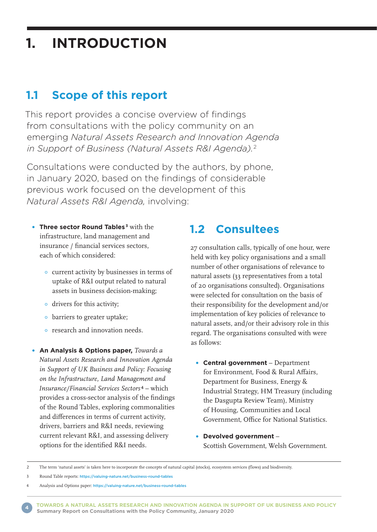# **1. INTRODUCTION**

### **1.1 Scope of this report**

This report provides a concise overview of findings from consultations with the policy community on an emerging *Natural Assets Research and Innovation Agenda in Support of Business (Natural Assets R&I Agenda).*<sup>2</sup>

Consultations were conducted by the authors, by phone, in January 2020, based on the findings of considerable previous work focused on the development of this *Natural Assets R&I Agenda,* involving:

- **Three sector Round Tables <sup>3</sup>** with the infrastructure, land management and insurance / financial services sectors, each of which considered:
	- current activity by businesses in terms of uptake of R&I output related to natural assets in business decision-making;
	- drivers for this activity;
	- barriers to greater uptake;
	- research and innovation needs.
- **An Analysis & Options paper,** *Towards a Natural Assets Research and Innovation Agenda in Support of UK Business and Policy: Focusing on the Infrastructure, Land Management and Insurance/Financial Services Sectors*4 – which provides a cross-sector analysis of the findings of the Round Tables, exploring commonalities and differences in terms of current activity, drivers, barriers and R&I needs, reviewing current relevant R&I, and assessing delivery options for the identified R&I needs.

### **1.2 Consultees**

27 consultation calls, typically of one hour, were held with key policy organisations and a small number of other organisations of relevance to natural assets (33 representatives from a total of 20 organisations consulted). Organisations were selected for consultation on the basis of their responsibility for the development and/or implementation of key policies of relevance to natural assets, and/or their advisory role in this regard. The organisations consulted with were as follows:

- **Central government** Department for Environment, Food & Rural Affairs, Department for Business, Energy & Industrial Strategy, HM Treasury (including the Dasgupta Review Team), Ministry of Housing, Communities and Local Government, Office for National Statistics.
- **Devolved government** Scottish Government, Welsh Government.

2 The term 'natural assets' is taken here to incorporate the concepts of natural capital (stocks), ecosystem services (flows) and biodiversity.

3 Round Table reports: <https://valuing-nature.net/business-round-tables>

**TOWARDS A NATURAL ASSETS RESEARCH AND INNOVATION AGENDA IN SUPPORT OF UK BUSINESS AND POLICY Summary Report on Consultations with the Policy Community, January 2020 <sup>4</sup>**

<sup>4</sup> Analysis and Options paper: <https://valuing-nature.net/business-round-tables>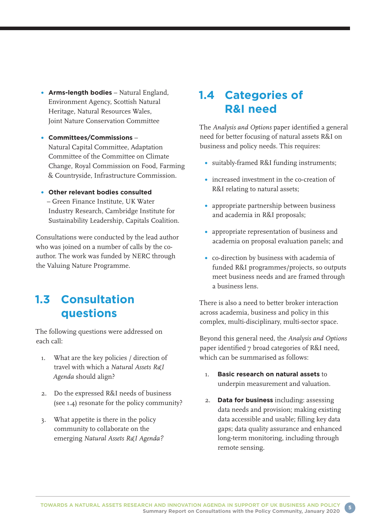- **Arms-length bodies** Natural England, Environment Agency, Scottish Natural Heritage, Natural Resources Wales, Joint Nature Conservation Committee
- **Committees/Commissions** Natural Capital Committee, Adaptation Committee of the Committee on Climate Change, Royal Commission on Food, Farming & Countryside, Infrastructure Commission.
- **Other relevant bodies consulted** – Green Finance Institute, UK Water Industry Research, Cambridge Institute for Sustainability Leadership, Capitals Coalition.

Consultations were conducted by the lead author who was joined on a number of calls by the coauthor. The work was funded by NERC through the Valuing Nature Programme.

## **1.3 Consultation questions**

The following questions were addressed on each call:

- 1. What are the key policies / direction of travel with which a *Natural Assets R&I Agenda* should align?
- 2. Do the expressed R&I needs of business (see 1.4) resonate for the policy community?
- 3. What appetite is there in the policy community to collaborate on the emerging *Natural Assets R&I Agenda?*

## **1.4 Categories of R&I need**

The *Analysis and Options* paper identified a general need for better focusing of natural assets R&I on business and policy needs. This requires:

- suitably-framed R&I funding instruments;
- increased investment in the co-creation of R&I relating to natural assets;
- appropriate partnership between business and academia in R&I proposals;
- appropriate representation of business and academia on proposal evaluation panels; and
- co-direction by business with academia of funded R&I programmes/projects, so outputs meet business needs and are framed through a business lens.

There is also a need to better broker interaction across academia, business and policy in this complex, multi-disciplinary, multi-sector space.

Beyond this general need, the *Analysis and Options* paper identified 7 broad categories of R&I need. which can be summarised as follows:

- 1. **Basic research on natural assets** to underpin measurement and valuation.
- 2. **Data for business** including: assessing data needs and provision; making existing data accessible and usable; filling key data gaps; data quality assurance and enhanced long-term monitoring, including through remote sensing.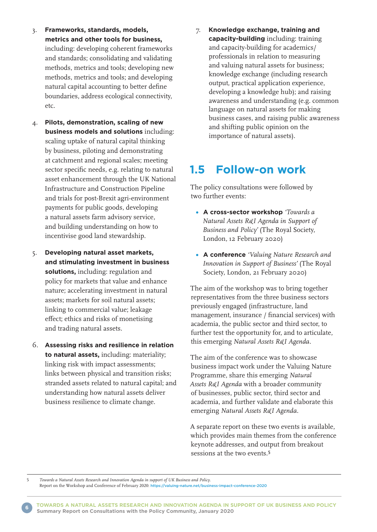- 3. **Frameworks, standards, models, metrics and other tools for business,** including: developing coherent frameworks and standards; consolidating and validating methods, metrics and tools; developing new methods, metrics and tools; and developing natural capital accounting to better define boundaries, address ecological connectivity, etc.
- 4. **Pilots, demonstration, scaling of new business models and solutions** including: scaling uptake of natural capital thinking by business, piloting and demonstrating at catchment and regional scales; meeting sector specific needs, e.g. relating to natural asset enhancement through the UK National Infrastructure and Construction Pipeline and trials for post-Brexit agri-environment payments for public goods, developing a natural assets farm advisory service, and building understanding on how to incentivise good land stewardship.
- 5. **Developing natural asset markets, and stimulating investment in business solutions,** including: regulation and policy for markets that value and enhance nature; accelerating investment in natural assets; markets for soil natural assets; linking to commercial value; leakage effect; ethics and risks of monetising and trading natural assets.
- 6. **Assessing risks and resilience in relation to natural assets,** including: materiality; linking risk with impact assessments; links between physical and transition risks; stranded assets related to natural capital; and understanding how natural assets deliver business resilience to climate change.

7. **Knowledge exchange, training and capacity-building** including: training and capacity-building for academics/ professionals in relation to measuring and valuing natural assets for business; knowledge exchange (including research output, practical application experience, developing a knowledge hub); and raising awareness and understanding (e.g. common language on natural assets for making business cases, and raising public awareness and shifting public opinion on the importance of natural assets).

### **1.5 Follow-on work**

The policy consultations were followed by two further events:

- **A cross-sector workshop** *'Towards a Natural Assets R&I Agenda in Support of Business and Policy'* (The Royal Society, London, 12 February 2020)
- **A conference** *'Valuing Nature Research and Innovation in Support of Business'* (The Royal Society, London, 21 February 2020)

The aim of the workshop was to bring together representatives from the three business sectors previously engaged (infrastructure, land management, insurance / financial services) with academia, the public sector and third sector, to further test the opportunity for, and to articulate, this emerging *Natural Assets R&I Agenda.*

The aim of the conference was to showcase business impact work under the Valuing Nature Programme, share this emerging *Natural Assets R&I Agenda* with a broader community of businesses, public sector, third sector and academia, and further validate and elaborate this emerging *Natural Assets R&I Agenda.*

A separate report on these two events is available, which provides main themes from the conference keynote addresses, and output from breakout sessions at the two events.<sup>5</sup>

<sup>5</sup> *Towards a Natural Assets Research and Innovation Agenda in support of UK Business and Policy.*

Report on the Workshop and Conference of February 2020: <https://valuing-nature.net/business-impact-conference-2020>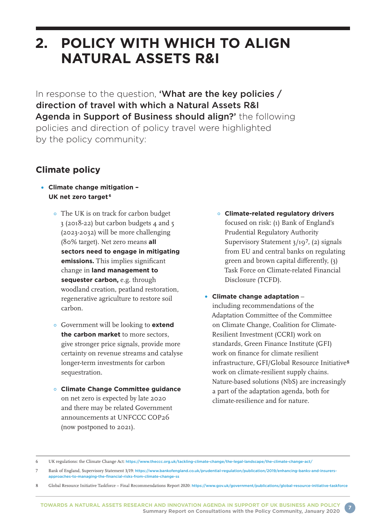# **2. POLICY WITH WHICH TO ALIGN NATURAL ASSETS R&I**

In response to the question, **'What are the key policies** / direction of travel with which a Natural Assets R&I Agenda in Support of Business should align?' the following policies and direction of policy travel were highlighted by the policy community:

### **Climate policy**

- **Climate change mitigation UK net zero target <sup>6</sup>**
	- The UK is on track for carbon budget 3 (2018-22) but carbon budgets 4 and 5 (2023-2032) will be more challenging (80% target). Net zero means **all sectors need to engage in mitigating emissions.** This implies significant change in **land management to sequester carbon,** e.g. through woodland creation, peatland restoration, regenerative agriculture to restore soil carbon.
	- Government will be looking to **extend the carbon market** to more sectors, give stronger price signals, provide more certainty on revenue streams and catalyse longer-term investments for carbon sequestration.
	- **Climate Change Committee guidance** on net zero is expected by late 2020 and there may be related Government announcements at UNFCCC COP26 (now postponed to 2021).
- **Climate-related regulatory drivers** focused on risk: (1) Bank of England's Prudential Regulatory Authority Supervisory Statement 3/197, (2) signals from EU and central banks on regulating green and brown capital differently, (3) Task Force on Climate-related Financial Disclosure (TCFD).
- **Climate change adaptation** including recommendations of the Adaptation Committee of the Committee on Climate Change, Coalition for Climate-Resilient Investment (CCRI) work on standards, Green Finance Institute (GFI) work on finance for climate resilient infrastructure, GFI/Global Resource Initiative8 work on climate-resilient supply chains. Nature-based solutions (NbS) are increasingly a part of the adaptation agenda, both for climate-resilience and for nature.

Global Resource Initiative Taskforce – Final Recommendations Report 2020: <https://www.gov.uk/government/publications/global-resource-initiative-taskforce>

<sup>6</sup> UK regulations: the Climate Change Act: <https://www.theccc.org.uk/tackling-climate-change/the-legal-landscape/the-climate-change-act/>

<sup>7</sup> Bank of England, Supervisory Statement 3/19: [https://www.bankofengland.co.uk/prudential-regulation/publication/2019/enhancing-banks-and-insurers](https://www.bankofengland.co.uk/prudential-regulation/publication/2019/enhancing-banks-and-insurers-approaches-to-managing-the-financial-risks-from-climate-change-ss)[approaches-to-managing-the-financial-risks-from-climate-change-ss](https://www.bankofengland.co.uk/prudential-regulation/publication/2019/enhancing-banks-and-insurers-approaches-to-managing-the-financial-risks-from-climate-change-ss)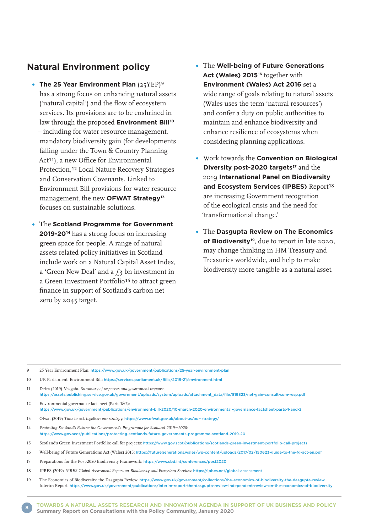#### **Natural Environment policy**

- **The 25 Year Environment Plan** (25YEP)<sup>9</sup> has a strong focus on enhancing natural assets ('natural capital') and the flow of ecosystem services. Its provisions are to be enshrined in law through the proposed **Environment Bill<sup>10</sup>** – including for water resource management, mandatory biodiversity gain (for developments falling under the Town & Country Planning Act<sup>11</sup>), a new Office for Environmental Protection,12 Local Nature Recovery Strategies and Conservation Covenants. Linked to Environment Bill provisions for water resource management, the new **OFWAT Strategy13** focuses on sustainable solutions.
- The **Scotland Programme for Government 2019-2014** has a strong focus on increasing green space for people. A range of natural assets related policy initiatives in Scotland include work on a Natural Capital Asset Index, a 'Green New Deal' and a  $f_3$  bn investment in a Green Investment Portfolio15 to attract green finance in support of Scotland's carbon net zero by 2045 target.
- The **Well-being of Future Generations**  Act (Wales) 2015<sup>16</sup> together with **Environment (Wales) Act 2016** set a wide range of goals relating to natural assets (Wales uses the term 'natural resources') and confer a duty on public authorities to maintain and enhance biodiversity and enhance resilience of ecosystems when considering planning applications.
- Work towards the **Convention on Biological Diversity post-2020 targets<sup>17</sup> and the** 2019 **International Panel on Biodiversity**  and Ecosystem Services (IPBES) Report<sup>18</sup> are increasing Government recognition of the ecological crisis and the need for 'transformational change.'
- The **Dasgupta Review on The Economics of Biodiversity19**, due to report in late 2020, may change thinking in HM Treasury and Treasuries worldwide, and help to make biodiversity more tangible as a natural asset.

9 25 Year Environment Plan: <https://www.gov.uk/government/publications/25-year-environment-plan>

- 11 Defra (2019) *Net gain. Summary of responses and government response.* [https://assets.publishing.service.gov.uk/government/uploads/system/uploads/attachment\\_data/file/819823/net-gain-consult-sum-resp.pdf](https://assets.publishing.service.gov.uk/government/uploads/system/uploads/attachment_data/file/819823/net-gain-consult-sum-resp.pdf)
- 12 Environmental governance factsheet (Parts 1&2): <https://www.gov.uk/government/publications/environment-bill-2020/10-march-2020-environmental-governance-factsheet-parts-1-and-2>
- 13 Ofwat (2019) *Time to act, together: our strategy.* <https://www.ofwat.gov.uk/about-us/our-strategy/>
- 14 *Protecting Scotland's Future: the Government's Programme for Scotland 2019–2020:*  <https://www.gov.scot/publications/protecting-scotlands-future-governments-programme-scotland-2019-20>
- 15 Scotland's Green Investment Portfolio: call for projects: <https://www.gov.scot/publications/scotlands-green-investment-portfolio-call-projects>
- 16 Well-being of Future Generations Act (Wales) 2015: <https://futuregenerations.wales/wp-content/uploads/2017/02/150623-guide-to-the-fg-act-en.pdf>
- 17 Preparations for the Post-2020 Biodiversity Framework: <https://www.cbd.int/conferences/post2020>
- 18 IPBES (2019) *IPBES Global Assessment Report on Biodiversty and Ecosystem Services:* <https://ipbes.net/global-assessment>
- 19 The Economics of Biodiversity: the Dasgupta Review: <https://www.gov.uk/government/collections/the-economics-of-biodiversity-the-dasgupta-review> Interim Report: <https://www.gov.uk/government/publications/interim-report-the-dasgupta-review-independent-review-on-the-economics-of-biodiversity>

<sup>10</sup> UK Parliament: Environment Bill: <https://services.parliament.uk/Bills/2019-21/environment.html>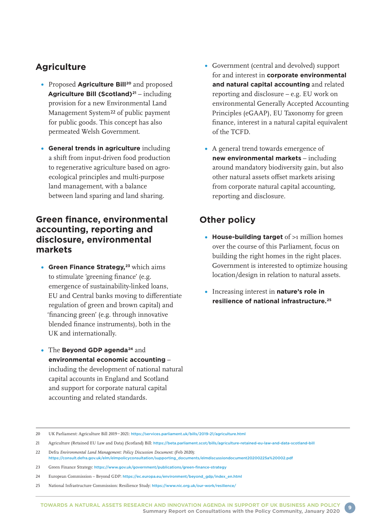#### **Agriculture**

- **Proposed Agriculture Bill<sup>20</sup> and proposed Agriculture Bill (Scotland)21** – including provision for a new Environmental Land Management System22 of public payment for public goods. This concept has also permeated Welsh Government.
- **General trends in agriculture** including a shift from input-driven food production to regenerative agriculture based on agroecological principles and multi-purpose land management, with a balance between land sparing and land sharing.

#### **Green finance, environmental accounting, reporting and disclosure, environmental markets**

- **Green Finance Strategy,<sup>23</sup> which aims** to stimulate 'greening finance' (e.g. emergence of sustainability-linked loans, EU and Central banks moving to differentiate regulation of green and brown capital) and 'financing green' (e.g. through innovative blended finance instruments), both in the UK and internationally.
- The **Beyond GDP agenda24** and **environmental economic accounting** – including the development of national natural capital accounts in England and Scotland and support for corporate natural capital accounting and related standards.
- Government (central and devolved) support for and interest in **corporate environmental and natural capital accounting** and related reporting and disclosure – e.g. EU work on environmental Generally Accepted Accounting Principles (eGAAP), EU Taxonomy for green finance, interest in a natural capital equivalent of the TCFD.
- A general trend towards emergence of **new environmental markets** – including around mandatory biodiversity gain, but also other natural assets offset markets arising from corporate natural capital accounting, reporting and disclosure.

### **Other policy**

- **House-building target** of >1 million homes over the course of this Parliament, focus on building the right homes in the right places. Government is interested to optimize housing location/design in relation to natural assets.
- Increasing interest in **nature's role in resilience of national infrastructure.25**

<sup>20</sup> UK Parliament: Agriculture Bill 2019 – 2021: <https://services.parliament.uk/bills/2019-21/agriculture.html>

<sup>21</sup> Agriculture (Retained EU Law and Data) (Scotland) Bill: <https://beta.parliament.scot/bills/agriculture-retained-eu-law-and-data-scotland-bill>

<sup>22</sup> Defra *Environmental Land Management: Policy Discussion Document:* (Feb 2020): [https://consult.defra.gov.uk/elm/elmpolicyconsultation/supporting\\_documents/elmdiscussiondocument20200225a%20002.pdf](https://consult.defra.gov.uk/elm/elmpolicyconsultation/supporting_documents/elmdiscussiondocument20200225a%20002.pdf)

<sup>23</sup> Green Finance Strategy: <https://www.gov.uk/government/publications/green-finance-strategy>

<sup>24</sup> European Commission – Beyond GDP: [https://ec.europa.eu/environment/beyond\\_gdp/index\\_en.html](https://ec.europa.eu/environment/beyond_gdp/index_en.html)

<sup>25</sup> National Infrastructure Commission: Resilience Study: <https://www.nic.org.uk/our-work/resilience/>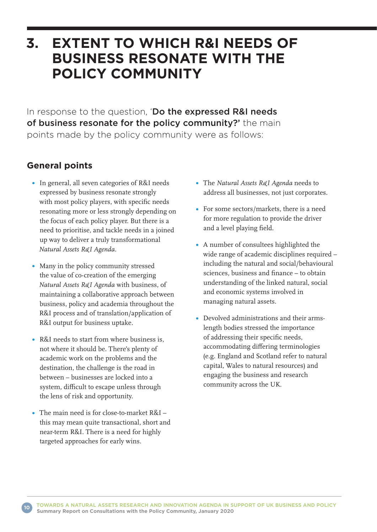## **3. EXTENT TO WHICH R&I NEEDS OF BUSINESS RESONATE WITH THE POLICY COMMUNITY**

In response to the question, 'Do the expressed R&I needs of business resonate for the policy community?' the main points made by the policy community were as follows:

### **General points**

- In general, all seven categories of R&I needs expressed by business resonate strongly with most policy players, with specific needs resonating more or less strongly depending on the focus of each policy player. But there is a need to prioritise, and tackle needs in a joined up way to deliver a truly transformational *Natural Assets R&I Agenda.*
- Many in the policy community stressed the value of co-creation of the emerging *Natural Assets R&I Agenda* with business, of maintaining a collaborative approach between business, policy and academia throughout the R&I process and of translation/application of R&I output for business uptake.
- R&I needs to start from where business is, not where it should be. There's plenty of academic work on the problems and the destination, the challenge is the road in between – businesses are locked into a system, difficult to escape unless through the lens of risk and opportunity.
- The main need is for close-to-market R&I this may mean quite transactional, short and near-term R&I. There is a need for highly targeted approaches for early wins.
- The *Natural Assets R&I Agenda* needs to address all businesses, not just corporates.
- For some sectors/markets, there is a need for more regulation to provide the driver and a level playing field.
- A number of consultees highlighted the wide range of academic disciplines required – including the natural and social/behavioural sciences, business and finance – to obtain understanding of the linked natural, social and economic systems involved in managing natural assets.
- Devolved administrations and their armslength bodies stressed the importance of addressing their specific needs, accommodating differing terminologies (e.g. England and Scotland refer to natural capital, Wales to natural resources) and engaging the business and research community across the UK.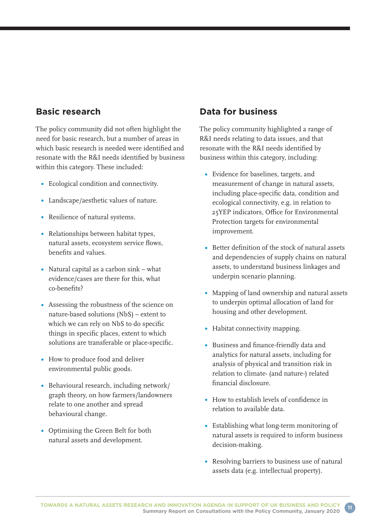### **Basic research**

The policy community did not often highlight the need for basic research, but a number of areas in which basic research is needed were identified and resonate with the R&I needs identified by business within this category. These included:

- Ecological condition and connectivity.
- Landscape/aesthetic values of nature.
- Resilience of natural systems.
- Relationships between habitat types, natural assets, ecosystem service flows, benefits and values.
- Natural capital as a carbon sink what evidence/cases are there for this, what co-benefits?
- Assessing the robustness of the science on nature-based solutions (NbS) – extent to which we can rely on NbS to do specific things in specific places, extent to which solutions are transferable or place-specific.
- How to produce food and deliver environmental public goods.
- Behavioural research, including network/ graph theory, on how farmers/landowners relate to one another and spread behavioural change.
- Optimising the Green Belt for both natural assets and development.

### **Data for business**

The policy community highlighted a range of R&I needs relating to data issues, and that resonate with the R&I needs identified by business within this category, including:

- Evidence for baselines, targets, and measurement of change in natural assets, including place-specific data, condition and ecological connectivity, e.g. in relation to 25YEP indicators, Office for Environmental Protection targets for environmental improvement.
- Better definition of the stock of natural assets and dependencies of supply chains on natural assets, to understand business linkages and underpin scenario planning.
- Mapping of land ownership and natural assets to underpin optimal allocation of land for housing and other development.
- Habitat connectivity mapping.
- Business and finance-friendly data and analytics for natural assets, including for analysis of physical and transition risk in relation to climate- (and nature-) related financial disclosure.
- How to establish levels of confidence in relation to available data.
- Establishing what long-term monitoring of natural assets is required to inform business decision-making.
- Resolving barriers to business use of natural assets data (e.g. intellectual property).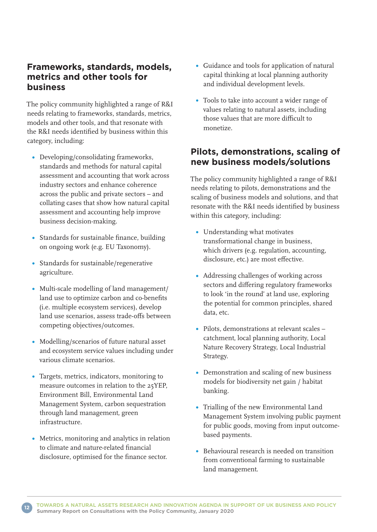#### **Frameworks, standards, models, metrics and other tools for business**

The policy community highlighted a range of R&I needs relating to frameworks, standards, metrics, models and other tools, and that resonate with the R&I needs identified by business within this category, including:

- Developing/consolidating frameworks, standards and methods for natural capital assessment and accounting that work across industry sectors and enhance coherence across the public and private sectors – and collating cases that show how natural capital assessment and accounting help improve business decision-making.
- Standards for sustainable finance, building on ongoing work (e.g. EU Taxonomy).
- Standards for sustainable/regenerative agriculture.
- Multi-scale modelling of land management/ land use to optimize carbon and co-benefits (i.e. multiple ecosystem services), develop land use scenarios, assess trade-offs between competing objectives/outcomes.
- Modelling/scenarios of future natural asset and ecosystem service values including under various climate scenarios.
- Targets, metrics, indicators, monitoring to measure outcomes in relation to the 25YEP, Environment Bill, Environmental Land Management System, carbon sequestration through land management, green infrastructure.
- Metrics, monitoring and analytics in relation to climate and nature-related financial disclosure, optimised for the finance sector.
- Guidance and tools for application of natural capital thinking at local planning authority and individual development levels.
- Tools to take into account a wider range of values relating to natural assets, including those values that are more difficult to monetize.

#### **Pilots, demonstrations, scaling of new business models/solutions**

The policy community highlighted a range of R&I needs relating to pilots, demonstrations and the scaling of business models and solutions, and that resonate with the R&I needs identified by business within this category, including:

- Understanding what motivates transformational change in business, which drivers (e.g. regulation, accounting, disclosure, etc.) are most effective.
- Addressing challenges of working across sectors and differing regulatory frameworks to look 'in the round' at land use, exploring the potential for common principles, shared data, etc.
- Pilots, demonstrations at relevant scales catchment, local planning authority, Local Nature Recovery Strategy, Local Industrial Strategy.
- Demonstration and scaling of new business models for biodiversity net gain / habitat banking.
- Trialling of the new Environmental Land Management System involving public payment for public goods, moving from input outcomebased payments.
- Behavioural research is needed on transition from conventional farming to sustainable land management.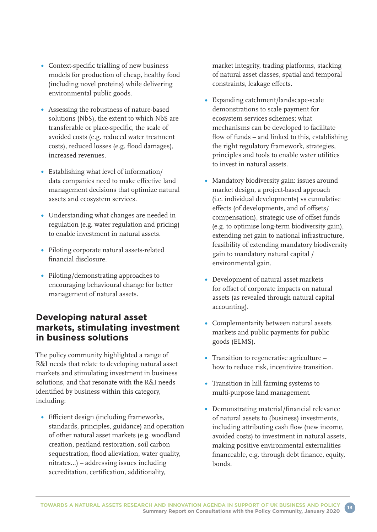- Context-specific trialling of new business models for production of cheap, healthy food (including novel proteins) while delivering environmental public goods.
- Assessing the robustness of nature-based solutions (NbS), the extent to which NbS are transferable or place-specific, the scale of avoided costs (e.g. reduced water treatment costs), reduced losses (e.g. flood damages), increased revenues.
- Establishing what level of information/ data companies need to make effective land management decisions that optimize natural assets and ecosystem services.
- Understanding what changes are needed in regulation (e.g. water regulation and pricing) to enable investment in natural assets.
- Piloting corporate natural assets-related financial disclosure.
- Piloting/demonstrating approaches to encouraging behavioural change for better management of natural assets.

#### **Developing natural asset markets, stimulating investment in business solutions**

The policy community highlighted a range of R&I needs that relate to developing natural asset markets and stimulating investment in business solutions, and that resonate with the R&I needs identified by business within this category, including:

Efficient design (including frameworks, standards, principles, guidance) and operation of other natural asset markets (e.g. woodland creation, peatland restoration, soil carbon sequestration, flood alleviation, water quality, nitrates…) – addressing issues including accreditation, certification, additionality,

market integrity, trading platforms, stacking of natural asset classes, spatial and temporal constraints, leakage effects.

- Expanding catchment/landscape-scale demonstrations to scale payment for ecosystem services schemes; what mechanisms can be developed to facilitate flow of funds – and linked to this, establishing the right regulatory framework, strategies, principles and tools to enable water utilities to invest in natural assets.
- Mandatory biodiversity gain: issues around market design, a project-based approach (i.e. individual developments) vs cumulative effects (of developments, and of offsets/ compensation), strategic use of offset funds (e.g. to optimise long-term biodiversity gain), extending net gain to national infrastructure, feasibility of extending mandatory biodiversity gain to mandatory natural capital / environmental gain.
- Development of natural asset markets for offset of corporate impacts on natural assets (as revealed through natural capital accounting).
- Complementarity between natural assets markets and public payments for public goods (ELMS).
- Transition to regenerative agriculture how to reduce risk, incentivize transition.
- Transition in hill farming systems to multi-purpose land management.
- Demonstrating material/financial relevance of natural assets to (business) investments, including attributing cash flow (new income, avoided costs) to investment in natural assets, making positive environmental externalities financeable, e.g. through debt finance, equity, bonds.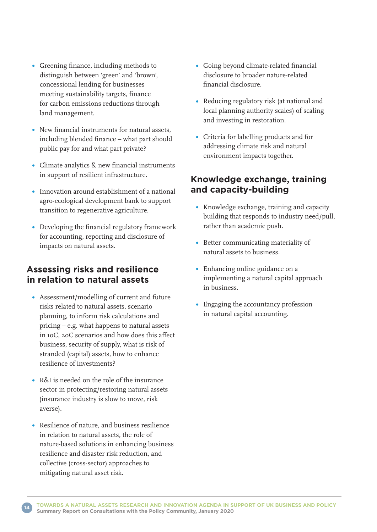- Greening finance, including methods to distinguish between 'green' and 'brown', concessional lending for businesses meeting sustainability targets, finance for carbon emissions reductions through land management.
- New financial instruments for natural assets, including blended finance – what part should public pay for and what part private?
- Climate analytics & new financial instruments in support of resilient infrastructure.
- Innovation around establishment of a national agro-ecological development bank to support transition to regenerative agriculture.
- Developing the financial regulatory framework for accounting, reporting and disclosure of impacts on natural assets.

#### **Assessing risks and resilience in relation to natural assets**

- Assessment/modelling of current and future risks related to natural assets, scenario planning, to inform risk calculations and pricing – e.g. what happens to natural assets in 1oC, 2oC scenarios and how does this affect business, security of supply, what is risk of stranded (capital) assets, how to enhance resilience of investments?
- R&I is needed on the role of the insurance sector in protecting/restoring natural assets (insurance industry is slow to move, risk averse).
- Resilience of nature, and business resilience in relation to natural assets, the role of nature-based solutions in enhancing business resilience and disaster risk reduction, and collective (cross-sector) approaches to mitigating natural asset risk.
- Going beyond climate-related financial disclosure to broader nature-related financial disclosure.
- Reducing regulatory risk (at national and local planning authority scales) of scaling and investing in restoration.
- Criteria for labelling products and for addressing climate risk and natural environment impacts together.

#### **Knowledge exchange, training and capacity-building**

- Knowledge exchange, training and capacity building that responds to industry need/pull, rather than academic push.
- **•** Better communicating materiality of natural assets to business.
- Enhancing online guidance on a implementing a natural capital approach in business.
- Engaging the accountancy profession in natural capital accounting.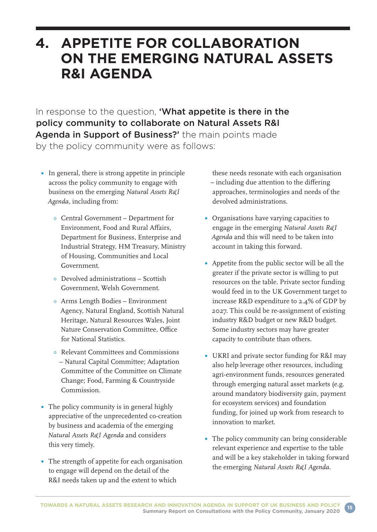# **4. APPETITE FOR COLLABORATION ON THE EMERGING NATURAL ASSETS R&I AGENDA**

In response to the question, 'What appetite is there in the policy community to collaborate on Natural Assets R&I Agenda in Support of Business?' the main points made by the policy community were as follows:

- In general, there is strong appetite in principle across the policy community to engage with business on the emerging *Natural Assets R&I Agenda,* including from:
	- Central Government Department for Environment, Food and Rural Affairs, Department for Business, Enterprise and Industrial Strategy, HM Treasury, Ministry of Housing, Communities and Local Government.
	- Devolved administrations Scottish Government, Welsh Government.
	- Arms Length Bodies Environment Agency, Natural England, Scottish Natural Heritage, Natural Resources Wales, Joint Nature Conservation Committee, Office for National Statistics.
	- Relevant Committees and Commissions – Natural Capital Committee; Adaptation Committee of the Committee on Climate Change; Food, Farming & Countryside Commission.
- The policy community is in general highly appreciative of the unprecedented co-creation by business and academia of the emerging *Natural Assets R&I Agenda* and considers this very timely.
- The strength of appetite for each organisation to engage will depend on the detail of the R&I needs taken up and the extent to which

these needs resonate with each organisation – including due attention to the differing approaches, terminologies and needs of the devolved administrations.

- Organisations have varying capacities to engage in the emerging *Natural Assets R&I Agenda* and this will need to be taken into account in taking this forward.
- Appetite from the public sector will be all the greater if the private sector is willing to put resources on the table. Private sector funding would feed in to the UK Government target to increase R&D expenditure to 2.4% of GDP by 2027. This could be re-assignment of existing industry R&D budget or new R&D budget. Some industry sectors may have greater capacity to contribute than others.
- UKRI and private sector funding for R&I may also help leverage other resources, including agri-environment funds, resources generated through emerging natural asset markets (e.g. around mandatory biodiversity gain, payment for ecosystem services) and foundation funding, for joined up work from research to innovation to market.
- The policy community can bring considerable relevant experience and expertise to the table and will be a key stakeholder in taking forward the emerging *Natural Assets R&I Agenda.*